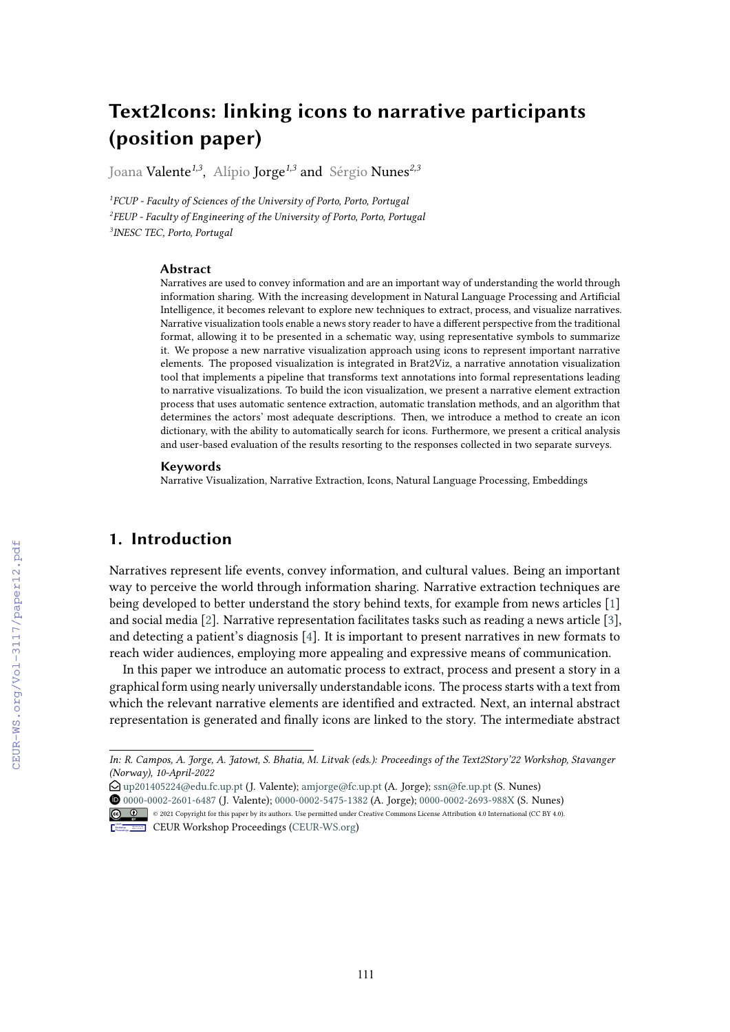# **Text2Icons: linking icons to narrative participants (position paper)**

Joana Valente*1,3*, Alípio Jorge*1,3* and Sérgio Nunes*2,3*

*1 FCUP - Faculty of Sciences of the University of Porto, Porto, Portugal 2 FEUP - Faculty of Engineering of the University of Porto, Porto, Portugal 3 INESC TEC, Porto, Portugal*

#### **Abstract**

Narratives are used to convey information and are an important way of understanding the world through information sharing. With the increasing development in Natural Language Processing and Artifcial Intelligence, it becomes relevant to explore new techniques to extract, process, and visualize narratives. Narrative visualization tools enable a news story reader to have a diferent perspective from the traditional format, allowing it to be presented in a schematic way, using representative symbols to summarize it. We propose a new narrative visualization approach using icons to represent important narrative elements. The proposed visualization is integrated in Brat2Viz, a narrative annotation visualization tool that implements a pipeline that transforms text annotations into formal representations leading to narrative visualizations. To build the icon visualization, we present a narrative element extraction process that uses automatic sentence extraction, automatic translation methods, and an algorithm that determines the actors' most adequate descriptions. Then, we introduce a method to create an icon dictionary, with the ability to automatically search for icons. Furthermore, we present a critical analysis and user-based evaluation of the results resorting to the responses collected in two separate surveys.

#### **Keywords**

Narrative Visualization, Narrative Extraction, Icons, Natural Language Processing, Embeddings

### **1. Introduction**

Narratives represent life events, convey information, and cultural values. Being an important way to perceive the world through information sharing. Narrative extraction techniques are being developed to better understand the story behind texts, for example from news articles [\[1\]](#page--1-0) and social media [\[2\]](#page--1-1). Narrative representation facilitates tasks such as reading a news article [\[3\]](#page--1-2), and detecting a patient's diagnosis [\[4\]](#page--1-3). It is important to present narratives in new formats to reach wider audiences, employing more appealing and expressive means of communication.

In this paper we introduce an automatic process to extract, process and present a story in a graphical form using nearly universally understandable icons. The process starts with a text from which the relevant narrative elements are identifed and extracted. Next, an internal abstract representation is generated and fnally icons are linked to the story. The intermediate abstract

O [0000-0002-2601-6487](https://orcid.org/0000-0002-2601-6487) (J. Valente); [0000-0002-5475-1382](https://orcid.org/0000-0002-5475-1382) (A. Jorge); [0000-0002-2693-988X](https://orcid.org/0000-0002-2693-988X) (S. Nunes) © 2021 Copyright for this paper by its authors. Use permitted under Creative Commons License Attribution 4.0 International (CC BY 4.0).



*In: R. Campos, A. Jorge, A. Jatowt, S. Bhatia, M. Litvak (eds.): Proceedings of the Text2Story'22 Workshop, Stavanger (Norway), 10-April-2022*

E [up201405224@edu.fc.up.pt](mailto:up201405224@edu.fc.up.pt) (J. Valente); [amjorge@fc.up.pt](mailto:amjorge@fc.up.pt) (A. Jorge); [ssn@fe.up.pt](mailto:ssn@fe.up.pt) (S. Nunes)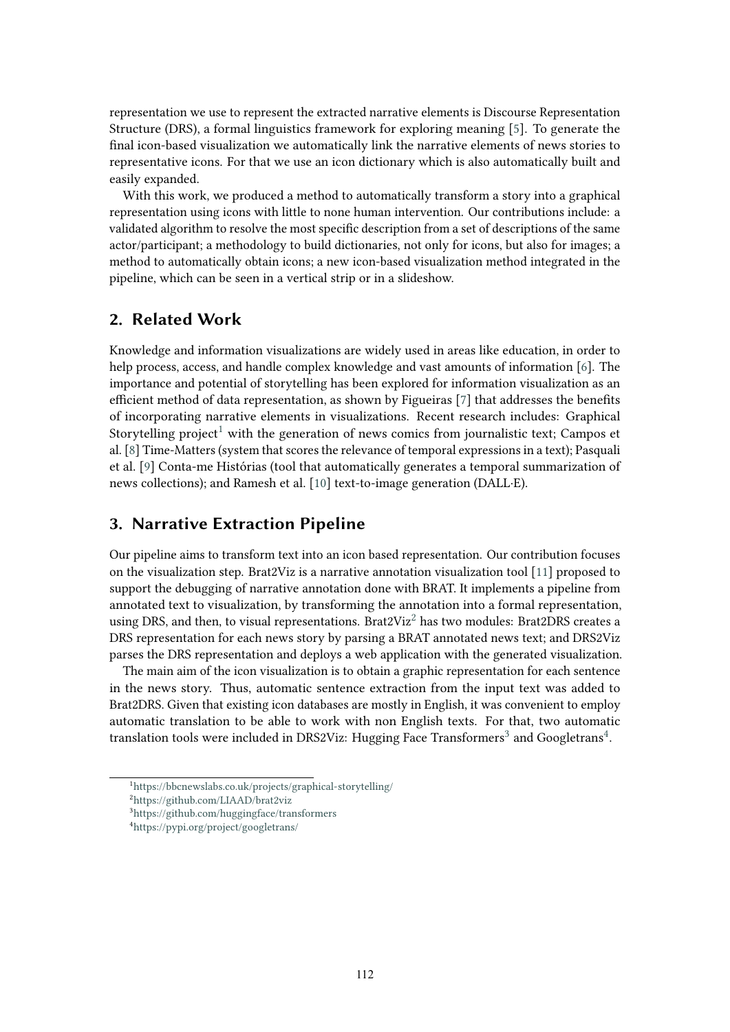representation we use to represent the extracted narrative elements is Discourse Representation Structure (DRS), a formal linguistics framework for exploring meaning [\[5\]](#page-4-0). To generate the fnal icon-based visualization we automatically link the narrative elements of news stories to representative icons. For that we use an icon dictionary which is also automatically built and easily expanded.

With this work, we produced a method to automatically transform a story into a graphical representation using icons with little to none human intervention. Our contributions include: a validated algorithm to resolve the most specifc description from a set of descriptions of the same actor/participant; a methodology to build dictionaries, not only for icons, but also for images; a method to automatically obtain icons; a new icon-based visualization method integrated in the pipeline, which can be seen in a vertical strip or in a slideshow.

### **2. Related Work**

Knowledge and information visualizations are widely used in areas like education, in order to help process, access, and handle complex knowledge and vast amounts of information [\[6\]](#page-4-1). The importance and potential of storytelling has been explored for information visualization as an efficient method of data representation, as shown by Figueiras  $[7]$  that addresses the benefits of incorporating narrative elements in visualizations. Recent research includes: Graphical Storytelling project<sup>[1](#page-1-0)</sup> with the generation of news comics from journalistic text; Campos et al. [\[8\]](#page-5-1) Time-Matters (system that scores the relevance of temporal expressions in a text); Pasquali et al. [\[9\]](#page-5-2) Conta-me Histórias (tool that automatically generates a temporal summarization of news collections); and Ramesh et al. [\[10\]](#page-5-3) text-to-image generation (DALL·E).

### **3. Narrative Extraction Pipeline**

Our pipeline aims to transform text into an icon based representation. Our contribution focuses on the visualization step. Brat2Viz is a narrative annotation visualization tool [\[11\]](#page-5-4) proposed to support the debugging of narrative annotation done with BRAT. It implements a pipeline from annotated text to visualization, by transforming the annotation into a formal representation, using DRS, and then, to visual representations. Brat[2](#page-1-1)Viz<sup>2</sup> has two modules: Brat2DRS creates a DRS representation for each news story by parsing a BRAT annotated news text; and DRS2Viz parses the DRS representation and deploys a web application with the generated visualization.

The main aim of the icon visualization is to obtain a graphic representation for each sentence in the news story. Thus, automatic sentence extraction from the input text was added to Brat2DRS. Given that existing icon databases are mostly in English, it was convenient to employ automatic translation to be able to work with non English texts. For that, two automatic translation tools were included in DRS2Viz: Hugging Face Transformers<sup>3</sup> and Googletrans<sup>4</sup>.

<span id="page-1-0"></span><sup>1</sup> <https://bbcnewslabs.co.uk/projects/graphical-storytelling/>

<span id="page-1-1"></span><sup>2</sup> <https://github.com/LIAAD/brat2viz>

<span id="page-1-2"></span><sup>3</sup> <https://github.com/huggingface/transformers>

<span id="page-1-3"></span><sup>4</sup> <https://pypi.org/project/googletrans/>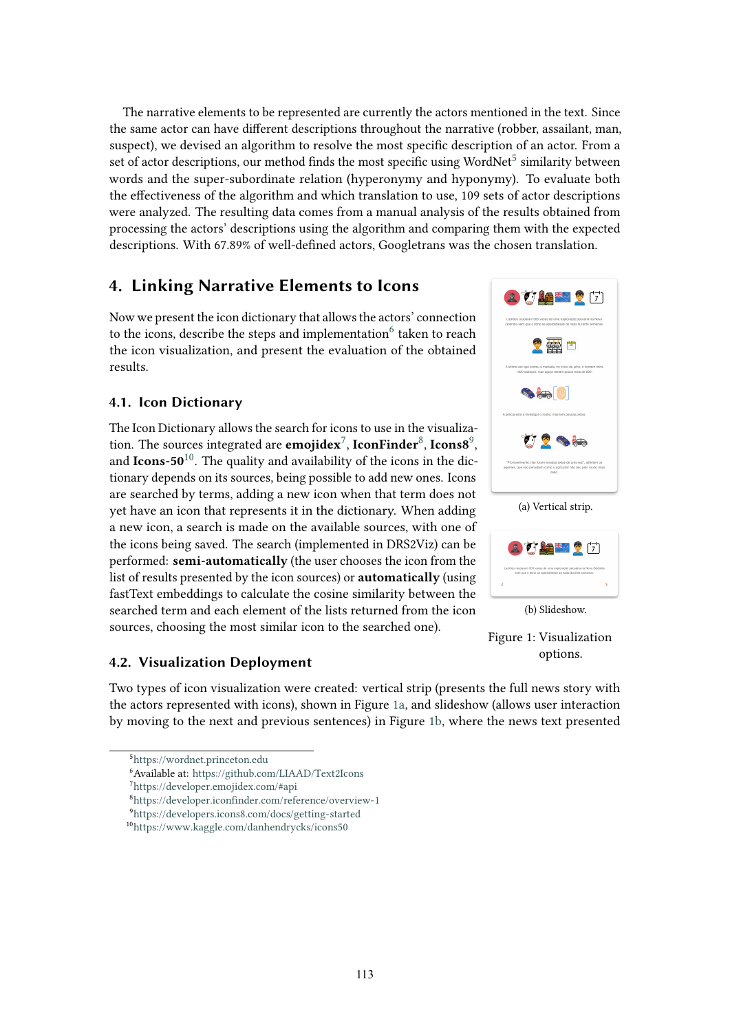The narrative elements to be represented are currently the actors mentioned in the text. Since the same actor can have diferent descriptions throughout the narrative (robber, assailant, man, suspect), we devised an algorithm to resolve the most specifc description of an actor. From a set of actor descriptions, our method finds the most specific using WordNet<sup>5</sup> similarity between words and the super-subordinate relation (hyperonymy and hyponymy). To evaluate both the efectiveness of the algorithm and which translation to use, 109 sets of actor descriptions were analyzed. The resulting data comes from a manual analysis of the results obtained from processing the actors' descriptions using the algorithm and comparing them with the expected descriptions. With 67.89% of well-defned actors, Googletrans was the chosen translation.

# **4. Linking Narrative Elements to Icons**

Now we present the icon dictionary that allows the actors' connection to the icons, describe the steps and implementation  $6$  taken to reach the icon visualization, and present the evaluation of the obtained results.

#### **4.1. Icon Dictionary**

The Icon Dictionary allows the search for icons to use in the visualization. The sources integrated are **emojidex**<sup>7</sup>, **IconFinder**<sup>8</sup>, **Icons8**<sup>9</sup>, and **Icons-50**[10.](#page-2-5) The quality and availability of the icons in the dictionary depends on its sources, being possible to add new ones. Icons are searched by terms, adding a new icon when that term does not yet have an icon that represents it in the dictionary. When adding a new icon, a search is made on the available sources, with one of the icons being saved. The search (implemented in DRS2Viz) can be performed: **semi-automatically** (the user chooses the icon from the list of results presented by the icon sources) or **automatically** (using fastText embeddings to calculate the cosine similarity between the searched term and each element of the lists returned from the icon sources, choosing the most similar icon to the searched one).

#### **4.2. Visualization Deployment**



<span id="page-2-0"></span><sup>5</sup> <https://wordnet.princeton.edu>

<span id="page-2-6"></span>

<span id="page-2-7"></span>Figure 1: Visualization options.

<span id="page-2-1"></span><sup>6</sup> Available at: <https://github.com/LIAAD/Text2Icons>

<span id="page-2-2"></span><sup>7</sup> <https://developer.emojidex.com/#api>

<span id="page-2-3"></span><sup>8</sup> <https://developer.iconfinder.com/reference/overview-1>

<span id="page-2-4"></span><sup>9</sup> <https://developers.icons8.com/docs/getting-started>

<span id="page-2-5"></span><sup>1</sup>[0https://www.kaggle.com/danhendrycks/icons50](https://www.kaggle.com/danhendrycks/icons50)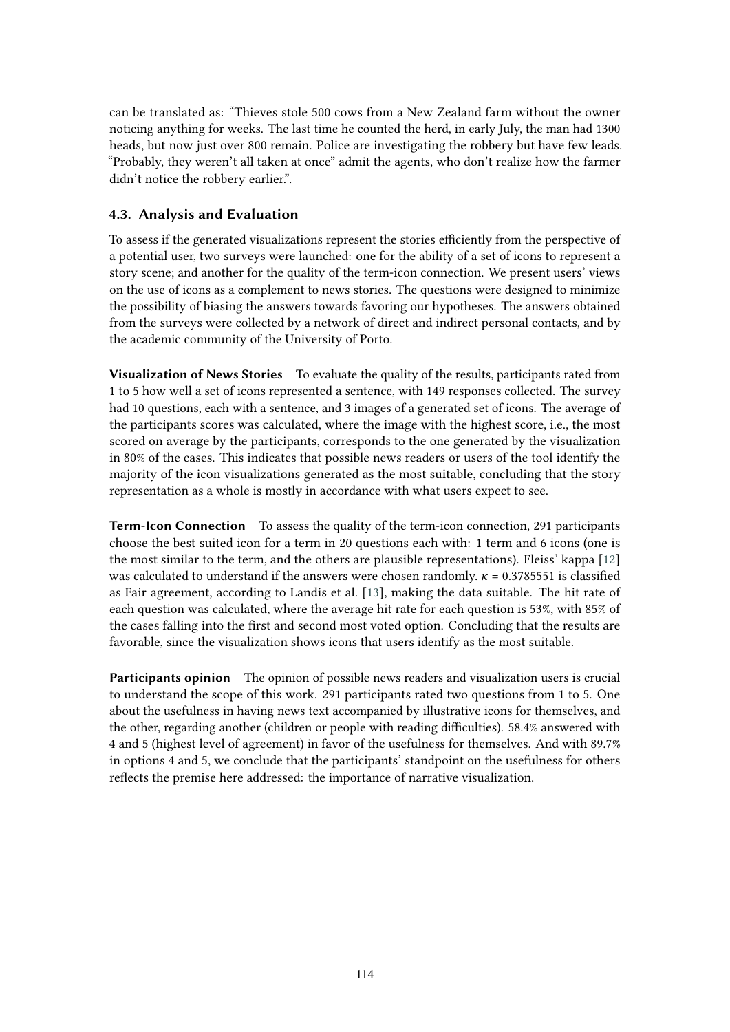can be translated as: "Thieves stole 500 cows from a New Zealand farm without the owner noticing anything for weeks. The last time he counted the herd, in early July, the man had 1300 heads, but now just over 800 remain. Police are investigating the robbery but have few leads. "Probably, they weren't all taken at once" admit the agents, who don't realize how the farmer didn't notice the robbery earlier.".

#### **4.3. Analysis and Evaluation**

To assess if the generated visualizations represent the stories efficiently from the perspective of a potential user, two surveys were launched: one for the ability of a set of icons to represent a story scene; and another for the quality of the term-icon connection. We present users' views on the use of icons as a complement to news stories. The questions were designed to minimize the possibility of biasing the answers towards favoring our hypotheses. The answers obtained from the surveys were collected by a network of direct and indirect personal contacts, and by the academic community of the University of Porto.

**Visualization of News Stories** To evaluate the quality of the results, participants rated from 1 to 5 how well a set of icons represented a sentence, with 149 responses collected. The survey had 10 questions, each with a sentence, and 3 images of a generated set of icons. The average of the participants scores was calculated, where the image with the highest score, i.e., the most scored on average by the participants, corresponds to the one generated by the visualization in 80% of the cases. This indicates that possible news readers or users of the tool identify the majority of the icon visualizations generated as the most suitable, concluding that the story representation as a whole is mostly in accordance with what users expect to see.

**Term-Icon Connection** To assess the quality of the term-icon connection, 291 participants choose the best suited icon for a term in 20 questions each with: 1 term and 6 icons (one is the most similar to the term, and the others are plausible representations). Fleiss' kappa [\[12\]](#page-5-5) was calculated to understand if the answers were chosen randomly.  $\kappa = 0.3785551$  is classified as Fair agreement, according to Landis et al. [\[13\]](#page-5-6), making the data suitable. The hit rate of each question was calculated, where the average hit rate for each question is 53%, with 85% of the cases falling into the frst and second most voted option. Concluding that the results are favorable, since the visualization shows icons that users identify as the most suitable.

**Participants opinion** The opinion of possible news readers and visualization users is crucial to understand the scope of this work. 291 participants rated two questions from 1 to 5. One about the usefulness in having news text accompanied by illustrative icons for themselves, and the other, regarding another (children or people with reading difficulties). 58.4% answered with 4 and 5 (highest level of agreement) in favor of the usefulness for themselves. And with 89.7% in options 4 and 5, we conclude that the participants' standpoint on the usefulness for others refects the premise here addressed: the importance of narrative visualization.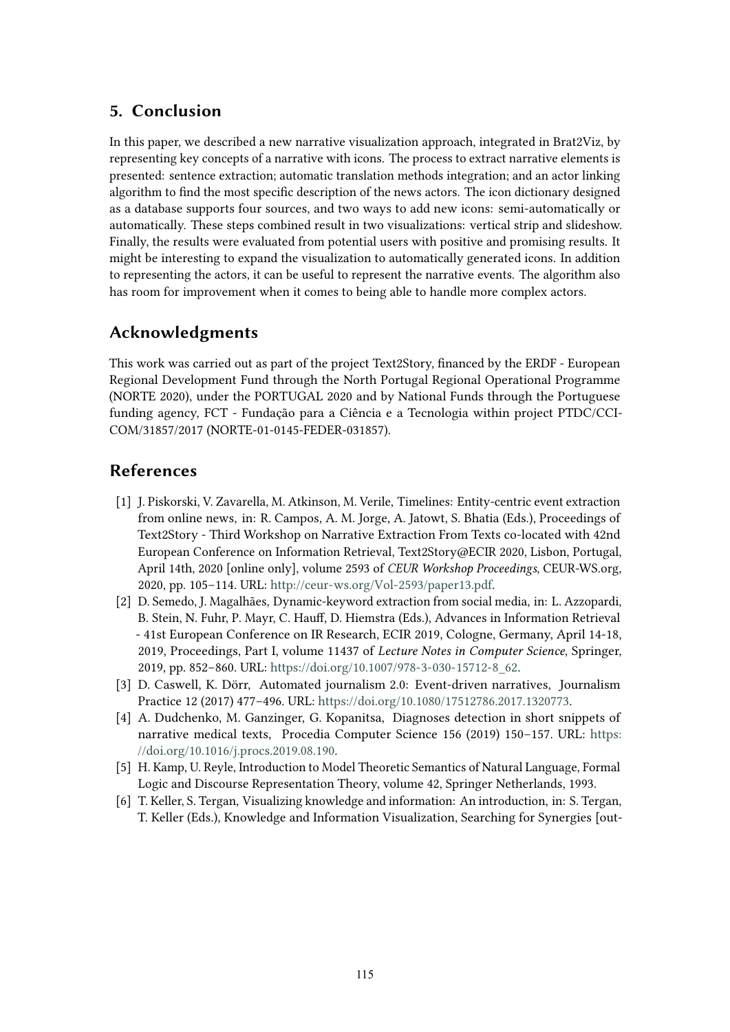# **5. Conclusion**

In this paper, we described a new narrative visualization approach, integrated in Brat2Viz, by representing key concepts of a narrative with icons. The process to extract narrative elements is presented: sentence extraction; automatic translation methods integration; and an actor linking algorithm to fnd the most specifc description of the news actors. The icon dictionary designed as a database supports four sources, and two ways to add new icons: semi-automatically or automatically. These steps combined result in two visualizations: vertical strip and slideshow. Finally, the results were evaluated from potential users with positive and promising results. It might be interesting to expand the visualization to automatically generated icons. In addition to representing the actors, it can be useful to represent the narrative events. The algorithm also has room for improvement when it comes to being able to handle more complex actors.

# **Acknowledgments**

This work was carried out as part of the project Text2Story, fnanced by the ERDF - European Regional Development Fund through the North Portugal Regional Operational Programme (NORTE 2020), under the PORTUGAL 2020 and by National Funds through the Portuguese funding agency, FCT - Fundação para a Ciência e a Tecnologia within project PTDC/CCI-COM/31857/2017 (NORTE-01-0145-FEDER-031857).

# **References**

- [1] J. Piskorski, V. Zavarella, M. Atkinson, M. Verile, Timelines: Entity-centric event extraction from online news, in: R. Campos, A. M. Jorge, A. Jatowt, S. Bhatia (Eds.), Proceedings of Text2Story - Third Workshop on Narrative Extraction From Texts co-located with 42nd European Conference on Information Retrieval, Text2Story@ECIR 2020, Lisbon, Portugal, April 14th, 2020 [online only], volume 2593 of *CEUR Workshop Proceedings*, CEUR-WS.org, 2020, pp. 105–114. URL: [http://ceur-ws.org/Vol-2593/paper13.pdf.](http://ceur-ws.org/Vol-2593/paper13.pdf)
- [2] D. Semedo, J. Magalhães, Dynamic-keyword extraction from social media, in: L. Azzopardi, B. Stein, N. Fuhr, P. Mayr, C. Hauf, D. Hiemstra (Eds.), Advances in Information Retrieval - 41st European Conference on IR Research, ECIR 2019, Cologne, Germany, April 14-18, 2019, Proceedings, Part I, volume 11437 of *Lecture Notes in Computer Science*, Springer, 2019, pp. 852–860. URL: [https://doi.org/10.1007/978-3-030-15712-8\\_62.](https://doi.org/10.1007/978-3-030-15712-8_62)
- [3] D. Caswell, K. Dörr, Automated journalism 2.0: Event-driven narratives, Journalism Practice 12 (2017) 477–496. URL: [https://doi.org/10.1080/17512786.2017.1320773.](https://doi.org/10.1080/17512786.2017.1320773)
- [4] A. Dudchenko, M. Ganzinger, G. Kopanitsa, Diagnoses detection in short snippets of narrative medical texts, Procedia Computer Science 156 (2019) 150–157. URL: [https:](https://doi.org/10.1016/j.procs.2019.08.190) [//doi.org/10.1016/j.procs.2019.08.190.](https://doi.org/10.1016/j.procs.2019.08.190)
- <span id="page-4-0"></span>[5] H. Kamp, U. Reyle, Introduction to Model Theoretic Semantics of Natural Language, Formal Logic and Discourse Representation Theory, volume 42, Springer Netherlands, 1993.
- <span id="page-4-1"></span>[6] T. Keller, S. Tergan, Visualizing knowledge and information: An introduction, in: S. Tergan, T. Keller (Eds.), Knowledge and Information Visualization, Searching for Synergies [out-